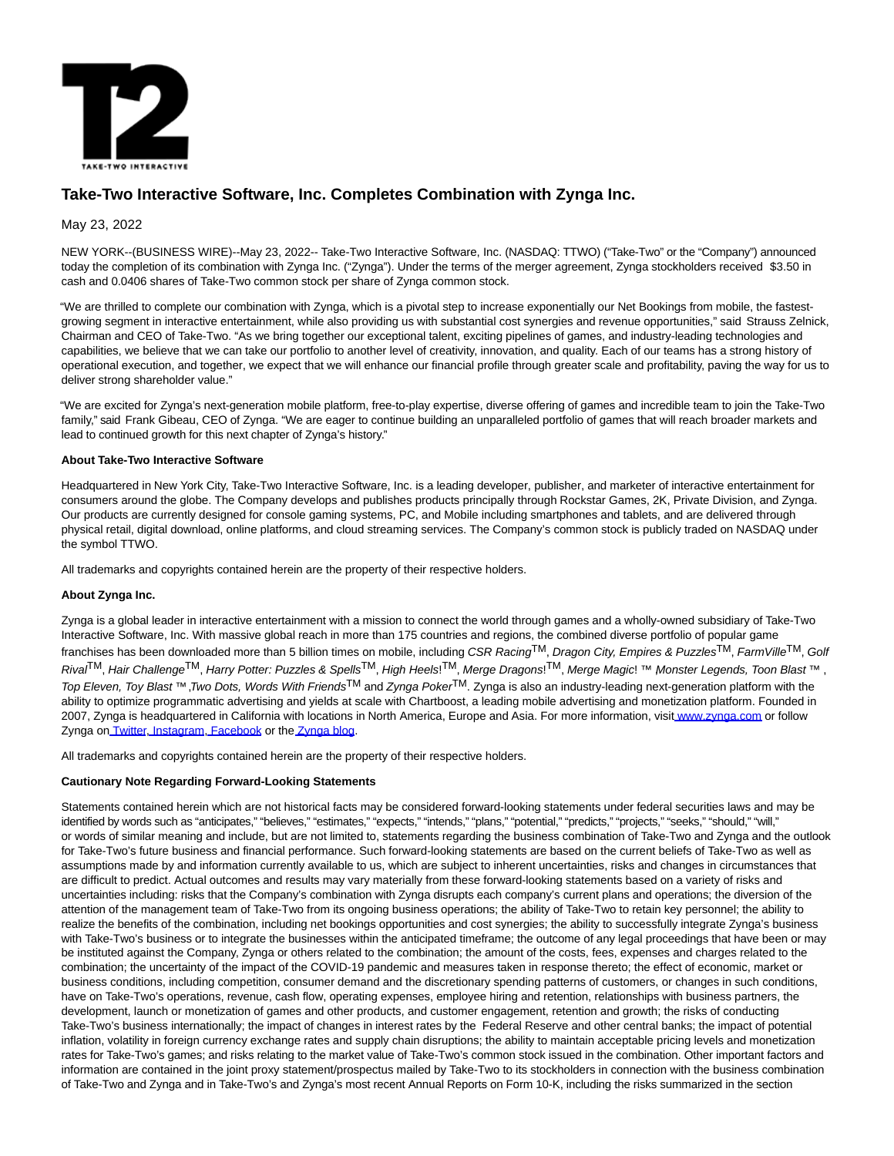

# **Take-Two Interactive Software, Inc. Completes Combination with Zynga Inc.**

# May 23, 2022

NEW YORK--(BUSINESS WIRE)--May 23, 2022-- Take-Two Interactive Software, Inc. (NASDAQ: TTWO) ("Take-Two" or the "Company") announced today the completion of its combination with Zynga Inc. ("Zynga"). Under the terms of the merger agreement, Zynga stockholders received \$3.50 in cash and 0.0406 shares of Take-Two common stock per share of Zynga common stock.

"We are thrilled to complete our combination with Zynga, which is a pivotal step to increase exponentially our Net Bookings from mobile, the fastestgrowing segment in interactive entertainment, while also providing us with substantial cost synergies and revenue opportunities," said Strauss Zelnick, Chairman and CEO of Take-Two. "As we bring together our exceptional talent, exciting pipelines of games, and industry-leading technologies and capabilities, we believe that we can take our portfolio to another level of creativity, innovation, and quality. Each of our teams has a strong history of operational execution, and together, we expect that we will enhance our financial profile through greater scale and profitability, paving the way for us to deliver strong shareholder value."

"We are excited for Zynga's next-generation mobile platform, free-to-play expertise, diverse offering of games and incredible team to join the Take-Two family," said Frank Gibeau, CEO of Zynga. "We are eager to continue building an unparalleled portfolio of games that will reach broader markets and lead to continued growth for this next chapter of Zynga's history."

## **About Take-Two Interactive Software**

Headquartered in New York City, Take-Two Interactive Software, Inc. is a leading developer, publisher, and marketer of interactive entertainment for consumers around the globe. The Company develops and publishes products principally through Rockstar Games, 2K, Private Division, and Zynga. Our products are currently designed for console gaming systems, PC, and Mobile including smartphones and tablets, and are delivered through physical retail, digital download, online platforms, and cloud streaming services. The Company's common stock is publicly traded on NASDAQ under the symbol TTWO.

All trademarks and copyrights contained herein are the property of their respective holders.

## **About Zynga Inc.**

Zynga is a global leader in interactive entertainment with a mission to connect the world through games and a wholly-owned subsidiary of Take-Two Interactive Software, Inc. With massive global reach in more than 175 countries and regions, the combined diverse portfolio of popular game franchises has been downloaded more than 5 billion times on mobile, including CSR Racing<sup>TM</sup>, Dragon City, Empires & Puzzles<sup>TM</sup>, FarmVille<sup>TM</sup>, Golf Rival<sup>TM</sup>, Hair Challenge<sup>TM</sup>, Harry Potter: Puzzles & Spells<sup>TM</sup>, High Heels!<sup>TM</sup>, Merge Dragons!<sup>TM</sup>, Merge Magic! ™ Monster Legends, Toon Blast ™ , Top Eleven, Toy Blast™, Two Dots, Words With Friends<sup>TM</sup> and Zynga Poker<sup>TM</sup>. Zynga is also an industry-leading next-generation platform with the ability to optimize programmatic advertising and yields at scale with Chartboost, a leading mobile advertising and monetization platform. Founded in 2007, Zynga is headquartered in California with locations in North America, Europe and Asia. For more information, visi[t www.zynga.com o](https://cts.businesswire.com/ct/CT?id=smartlink&url=http%3A%2F%2Fwww.zynga.com&esheet=52727793&newsitemid=20220523005631&lan=en-US&anchor=www.zynga.com&index=1&md5=fec5654fe4056c2cebe0057879883247)r follow Zynga o[n Twitter,](https://cts.businesswire.com/ct/CT?id=smartlink&url=https%3A%2F%2Furldefense.com%2Fv3%2F__http%3A%2Fwww.twitter.com%2Fzynga__%3B%21%21HCIOx9TFhg%21a77Ji0eJmSNjvUYZlHSdhF5fCfrgYHYLSWrIzscaeYVxaACUyDUZA6dv2in-zwcA1emXTrAfwTHx1e8TsE4LLVx_C1wcnA%24&esheet=52727793&newsitemid=20220523005631&lan=en-US&anchor=Twitter&index=2&md5=8b23da279a93269202e14d9b6704455b) [Instagram,](https://cts.businesswire.com/ct/CT?id=smartlink&url=https%3A%2F%2Furldefense.com%2Fv3%2F__https%3A%2Fwww.instagram.com%2Fzynga%2F__%3B%21%21HCIOx9TFhg%21a77Ji0eJmSNjvUYZlHSdhF5fCfrgYHYLSWrIzscaeYVxaACUyDUZA6dv2in-zwcA1emXTrAfwTHx1e8TsE4LLVyDCLX1Tw%24&esheet=52727793&newsitemid=20220523005631&lan=en-US&anchor=Instagram&index=3&md5=85ee3667e0a7ad88cf1413ad7a50dec4) [Facebook o](https://cts.businesswire.com/ct/CT?id=smartlink&url=https%3A%2F%2Furldefense.com%2Fv3%2F__https%3A%2Fwww.facebook.com%2FZynga%2F__%3B%21%21HCIOx9TFhg%21a77Ji0eJmSNjvUYZlHSdhF5fCfrgYHYLSWrIzscaeYVxaACUyDUZA6dv2in-zwcA1emXTrAfwTHx1e8TsE4LLVytd0nF1g%24&esheet=52727793&newsitemid=20220523005631&lan=en-US&anchor=Facebook&index=4&md5=098daf85bb2acbed02bb4caa60df1168)r th[e Zynga blog.](https://cts.businesswire.com/ct/CT?id=smartlink&url=https%3A%2F%2Fwww.zynga.com%2Fblog%2F&esheet=52727793&newsitemid=20220523005631&lan=en-US&anchor=Zynga+blog&index=5&md5=a64415f1b6336eb8c63476d14c5b8971)

All trademarks and copyrights contained herein are the property of their respective holders.

## **Cautionary Note Regarding Forward-Looking Statements**

Statements contained herein which are not historical facts may be considered forward-looking statements under federal securities laws and may be identified by words such as "anticipates," "believes," "estimates," "expects," "intends," "plans," "potential," "predicts," "projects," "seeks," "should," "will," or words of similar meaning and include, but are not limited to, statements regarding the business combination of Take-Two and Zynga and the outlook for Take-Two's future business and financial performance. Such forward-looking statements are based on the current beliefs of Take-Two as well as assumptions made by and information currently available to us, which are subject to inherent uncertainties, risks and changes in circumstances that are difficult to predict. Actual outcomes and results may vary materially from these forward-looking statements based on a variety of risks and uncertainties including: risks that the Company's combination with Zynga disrupts each company's current plans and operations; the diversion of the attention of the management team of Take-Two from its ongoing business operations; the ability of Take-Two to retain key personnel; the ability to realize the benefits of the combination, including net bookings opportunities and cost synergies; the ability to successfully integrate Zynga's business with Take-Two's business or to integrate the businesses within the anticipated timeframe; the outcome of any legal proceedings that have been or may be instituted against the Company, Zynga or others related to the combination; the amount of the costs, fees, expenses and charges related to the combination; the uncertainty of the impact of the COVID-19 pandemic and measures taken in response thereto; the effect of economic, market or business conditions, including competition, consumer demand and the discretionary spending patterns of customers, or changes in such conditions, have on Take-Two's operations, revenue, cash flow, operating expenses, employee hiring and retention, relationships with business partners, the development, launch or monetization of games and other products, and customer engagement, retention and growth; the risks of conducting Take-Two's business internationally; the impact of changes in interest rates by the Federal Reserve and other central banks; the impact of potential inflation, volatility in foreign currency exchange rates and supply chain disruptions; the ability to maintain acceptable pricing levels and monetization rates for Take-Two's games; and risks relating to the market value of Take-Two's common stock issued in the combination. Other important factors and information are contained in the joint proxy statement/prospectus mailed by Take-Two to its stockholders in connection with the business combination of Take-Two and Zynga and in Take-Two's and Zynga's most recent Annual Reports on Form 10-K, including the risks summarized in the section